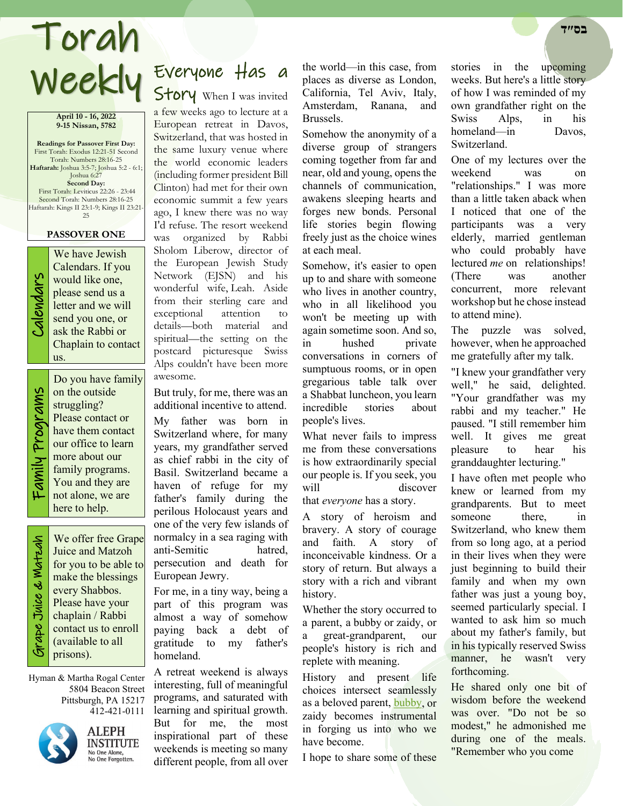# Weekly Everyone Has a Torah **בס״ד**

#### **April 10 - 16, 2022 9-15 Nissan, 5782**

**Readings for Passover First Day:** First Torah: Exodus 12:21-51 Second Torah: Numbers 28:16-25 **Haftarah:** Joshua 3:5-7; Joshua 5:2 - 6:1; Joshua 6:27 **Second Day:** First Torah: Leviticus 22:26 - 23:44 Second Torah: Numbers 28:16-25 Haftarah: Kings II 23:1-9; Kings II 23:21- 25

### **PASSOVER ONE**



We have Jewish<br>Calendars. If you<br>would like one,<br>please send us a<br>letter and we will<br>send you one, or<br>ask the Rabbi or Calendars. If you would like one, please send us a letter and we will send you one, or ask the Rabbi or Chaplain to contact us.

Do you have family on the outside struggling? Please contact or have them contact our office to learn more about our family programs. You and they are not alone, we are here to help.

 Grape Juice & Matzah ade Juice & Watzah

We offer free Grape Juice and Matzoh for you to be able to make the blessings every Shabbos. Please have your chaplain / Rabbi contact us to enroll (available to all prisons).

Hyman & Martha Rogal Center 5804 Beacon Street Pittsburgh, PA 15217 412-421-0111



ALEPH **INSTITUTE** No One Alone,<br>No One Forgotten.

Story When I was invited a few weeks ago to lecture at a

European retreat in Davos, Switzerland, that was hosted in the same luxury venue where the world economic leaders (including former president Bill Clinton) had met for their own economic summit a few years ago, I knew there was no way I'd refuse. The resort weekend was organized by Rabbi Sholom Liberow, director of the European Jewish Study Network (EJSN) and his wonderful wife, Leah. Aside from their sterling care and exceptional attention to details—both material and spiritual—the setting on the postcard picturesque Swiss Alps couldn't have been more awesome.

But truly, for me, there was an additional incentive to attend.

My father was born in Switzerland where, for many years, my grandfather served as chief rabbi in the city of Basil. Switzerland became a haven of refuge for my father's family during the perilous Holocaust years and one of the very few islands of normalcy in a sea raging with anti-Semitic hatred, persecution and death for European Jewry.

For me, in a tiny way, being a part of this program was almost a way of somehow paying back a debt of gratitude to my father's homeland.

A retreat weekend is always interesting, full of meaningful programs, and saturated with learning and spiritual growth. But for me, the most inspirational part of these weekends is meeting so many different people, from all over

the world—in this case, from places as diverse as London, California, Tel Aviv, Italy, Amsterdam, Ranana, and Brussels.

Somehow the anonymity of a diverse group of strangers coming together from far and near, old and young, opens the channels of communication, awakens sleeping hearts and forges new bonds. Personal life stories begin flowing freely just as the choice wines at each meal.

Somehow, it's easier to open up to and share with someone who lives in another country, who in all likelihood you won't be meeting up with again sometime soon. And so, in hushed private conversations in corners of sumptuous rooms, or in open gregarious table talk over a Shabbat luncheon, you learn incredible stories about people's lives.

What never fails to impress me from these conversations is how extraordinarily special our people is. If you seek, you will discover that *everyone* has a story.

A story of heroism and bravery. A story of courage and faith. A story of inconceivable kindness. Or a story of return. But always a story with a rich and vibrant history.

Whether the story occurred to a parent, a bubby or zaidy, or a great-grandparent, our people's history is rich and replete with meaning.

History and present life choices intersect seamlessly as a beloved parent, [bubby,](https://www.alephne.org/theJewishWoman/article_cdo/aid/478916/jewish/Bubbe-Maryasha-Garelik.htm) or zaidy becomes instrumental in forging us into who we have become.

I hope to share some of these

stories in the upcoming weeks. But here's a little story of how I was reminded of my own grandfather right on the Swiss Alps, in his homeland—in Davos, Switzerland.

One of my lectures over the weekend was on "relationships." I was more than a little taken aback when I noticed that one of the participants was a very elderly, married gentleman who could probably have lectured *me* on relationships! (There was another concurrent, more relevant workshop but he chose instead to attend mine).

The puzzle was solved, however, when he approached me gratefully after my talk.

"I knew your grandfather very well," he said, delighted. "Your grandfather was my rabbi and my teacher." He paused. "I still remember him well. It gives me great pleasure to hear his granddaughter lecturing."

I have often met people who knew or learned from my grandparents. But to meet someone there, in Switzerland, who knew them from so long ago, at a period in their lives when they were just beginning to build their family and when my own father was just a young boy, seemed particularly special. I wanted to ask him so much about my father's family, but in his typically reserved Swiss manner, he wasn't very forthcoming.

He shared only one bit of wisdom before the weekend was over. "Do not be so modest," he admonished me during one of the meals. "Remember who you come